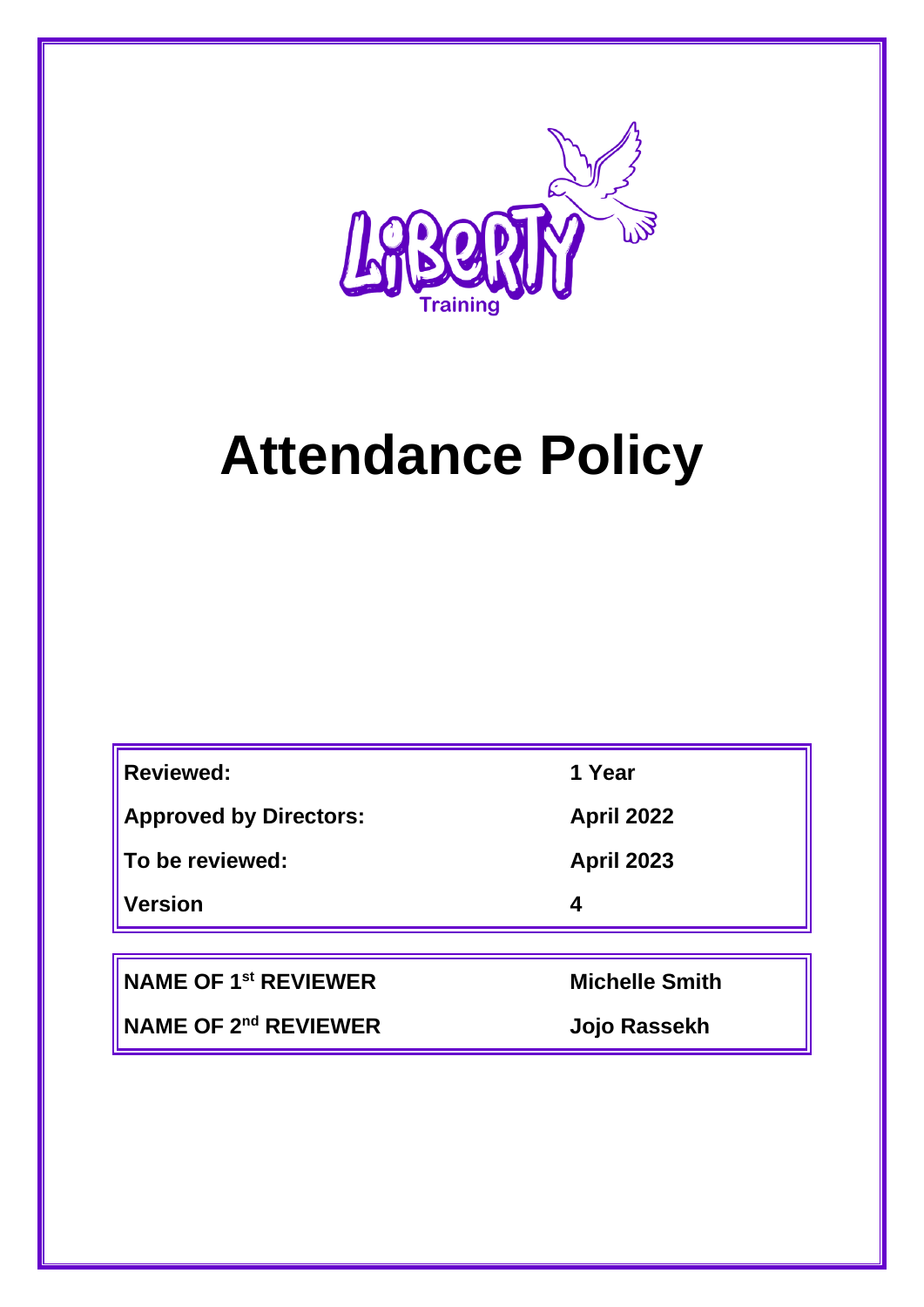

# **Attendance Policy**

| NAME OF 1 <sup>st</sup> REVIEWER | <b>Michelle Smith</b> |
|----------------------------------|-----------------------|
|                                  |                       |
| <b>Version</b>                   | 4                     |
| To be reviewed:                  | <b>April 2023</b>     |
| <b>Approved by Directors:</b>    | <b>April 2022</b>     |
| <b>Reviewed:</b>                 | 1 Year                |

**NAME OF 2nd REVIEWER Jojo Rassekh**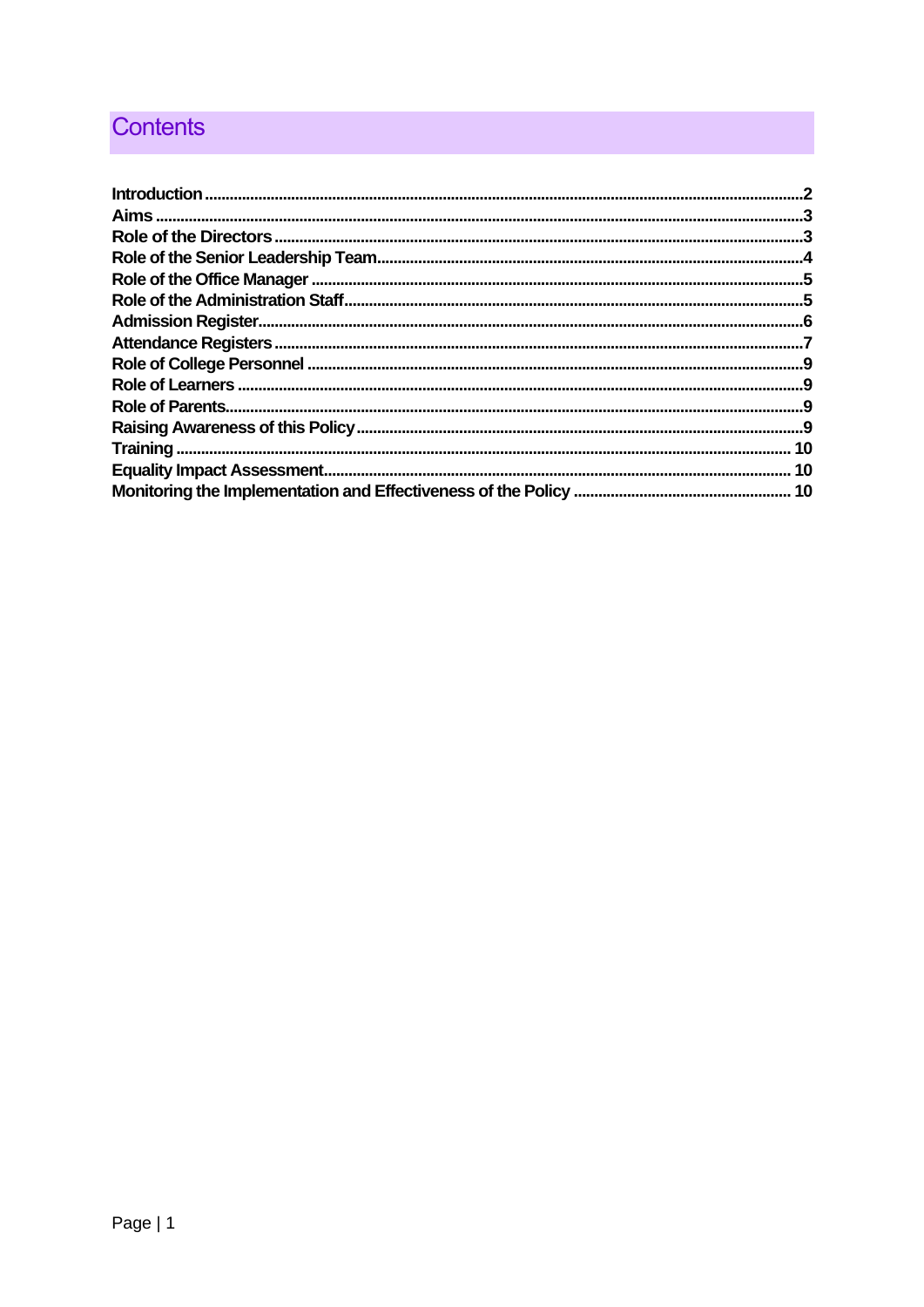## **Contents**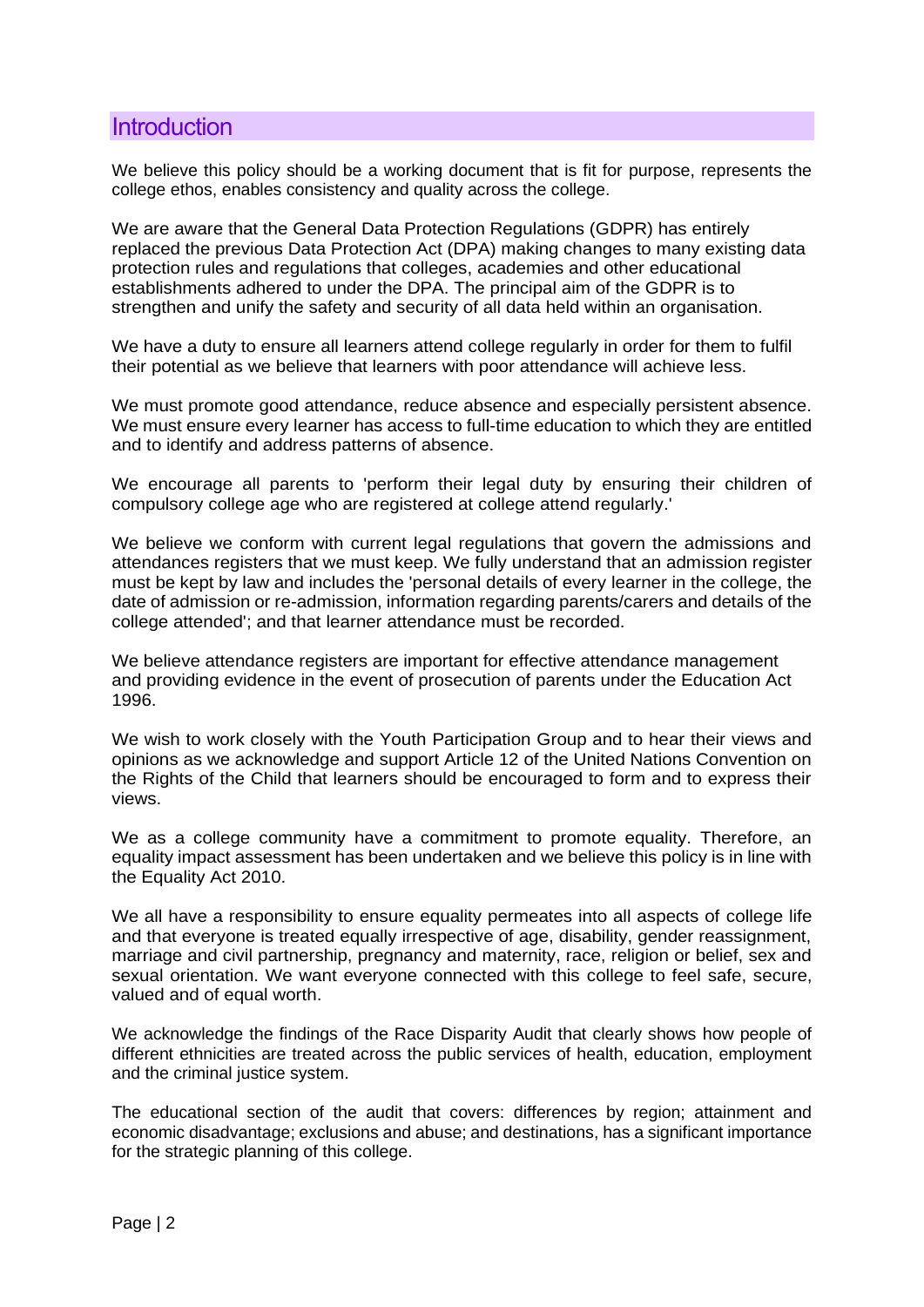#### <span id="page-2-0"></span>**Introduction**

We believe this policy should be a working document that is fit for purpose, represents the college ethos, enables consistency and quality across the college.

We are aware that the General Data Protection Regulations (GDPR) has entirely replaced the previous Data Protection Act (DPA) making changes to many existing data protection rules and regulations that colleges, academies and other educational establishments adhered to under the DPA. The principal aim of the GDPR is to strengthen and unify the safety and security of all data held within an organisation.

We have a duty to ensure all learners attend college regularly in order for them to fulfil their potential as we believe that learners with poor attendance will achieve less.

We must promote good attendance, reduce absence and especially persistent absence. We must ensure every learner has access to full-time education to which they are entitled and to identify and address patterns of absence.

We encourage all parents to 'perform their legal duty by ensuring their children of compulsory college age who are registered at college attend regularly.'

We believe we conform with current legal regulations that govern the admissions and attendances registers that we must keep. We fully understand that an admission register must be kept by law and includes the 'personal details of every learner in the college, the date of admission or re-admission, information regarding parents/carers and details of the college attended'; and that learner attendance must be recorded.

We believe attendance registers are important for effective attendance management and providing evidence in the event of prosecution of parents under the Education Act 1996.

We wish to work closely with the Youth Participation Group and to hear their views and opinions as we acknowledge and support Article 12 of the United Nations Convention on the Rights of the Child that learners should be encouraged to form and to express their views.

We as a college community have a commitment to promote equality. Therefore, an equality impact assessment has been undertaken and we believe this policy is in line with the Equality Act 2010.

We all have a responsibility to ensure equality permeates into all aspects of college life and that everyone is treated equally irrespective of age, disability, gender reassignment, marriage and civil partnership, pregnancy and maternity, race, religion or belief, sex and sexual orientation. We want everyone connected with this college to feel safe, secure, valued and of equal worth.

We acknowledge the findings of the Race Disparity Audit that clearly shows how people of different ethnicities are treated across the public services of health, education, employment and the criminal justice system.

The educational section of the audit that covers: differences by region; attainment and economic disadvantage; exclusions and abuse; and destinations, has a significant importance for the strategic planning of this college.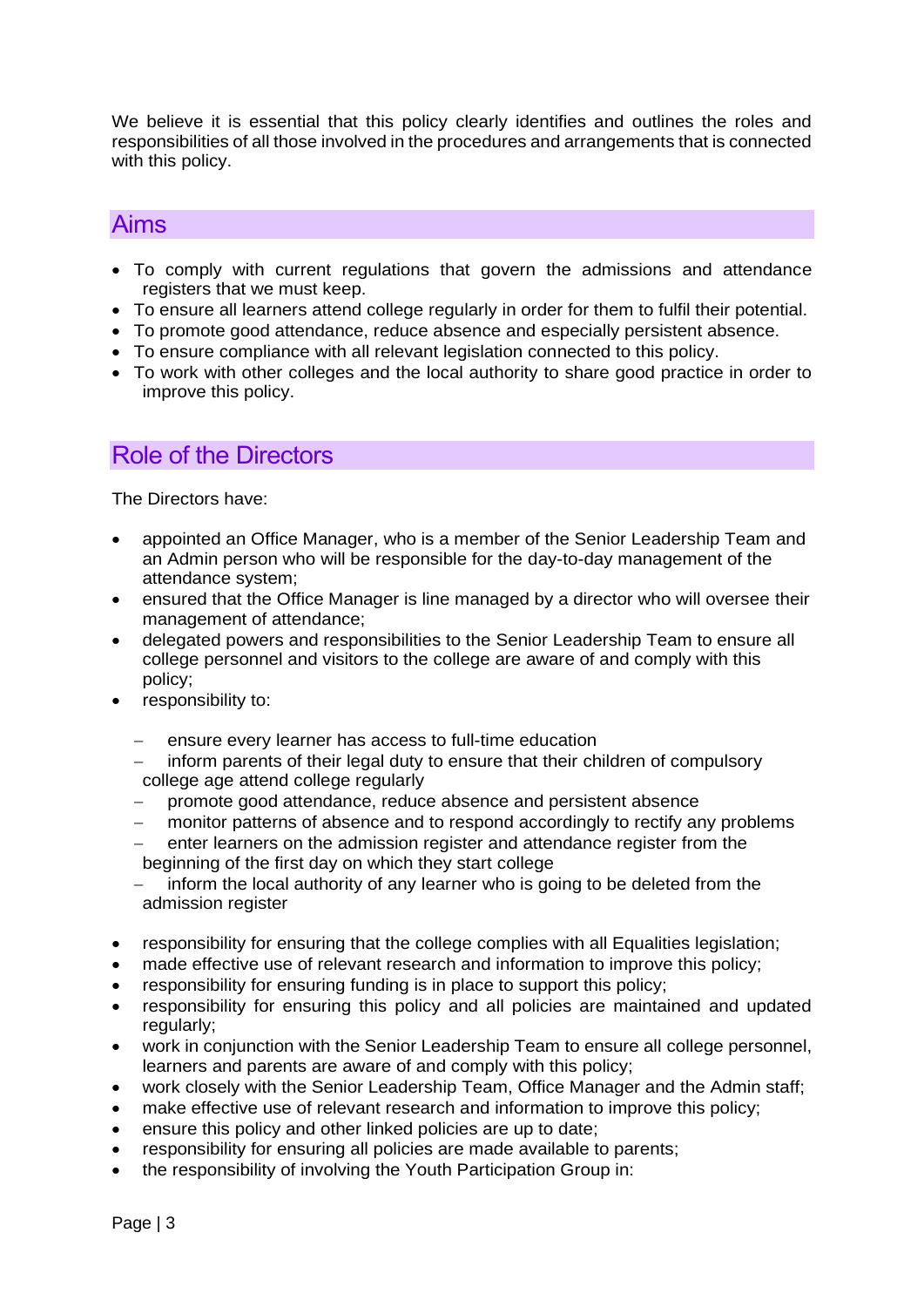We believe it is essential that this policy clearly identifies and outlines the roles and responsibilities of all those involved in the procedures and arrangements that is connected with this policy.

#### <span id="page-3-0"></span>Aims

- To comply with current regulations that govern the admissions and attendance registers that we must keep.
- To ensure all learners attend college regularly in order for them to fulfil their potential.
- To promote good attendance, reduce absence and especially persistent absence.
- To ensure compliance with all relevant legislation connected to this policy.
- To work with other colleges and the local authority to share good practice in order to improve this policy.

## <span id="page-3-1"></span>Role of the Directors

The Directors have:

- appointed an Office Manager, who is a member of the Senior Leadership Team and an Admin person who will be responsible for the day-to-day management of the attendance system;
- ensured that the Office Manager is line managed by a director who will oversee their management of attendance;
- delegated powers and responsibilities to the Senior Leadership Team to ensure all college personnel and visitors to the college are aware of and comply with this policy;
- responsibility to:
	- ensure every learner has access to full-time education
	- inform parents of their legal duty to ensure that their children of compulsory college age attend college regularly
	- − promote good attendance, reduce absence and persistent absence
	- monitor patterns of absence and to respond accordingly to rectify any problems
	- enter learners on the admission register and attendance register from the beginning of the first day on which they start college
	- − inform the local authority of any learner who is going to be deleted from the admission register
- responsibility for ensuring that the college complies with all Equalities legislation;
- made effective use of relevant research and information to improve this policy;
- responsibility for ensuring funding is in place to support this policy;
- responsibility for ensuring this policy and all policies are maintained and updated regularly:
- work in conjunction with the Senior Leadership Team to ensure all college personnel. learners and parents are aware of and comply with this policy;
- work closely with the Senior Leadership Team, Office Manager and the Admin staff;
- make effective use of relevant research and information to improve this policy;
- ensure this policy and other linked policies are up to date;
- responsibility for ensuring all policies are made available to parents;
- the responsibility of involving the Youth Participation Group in: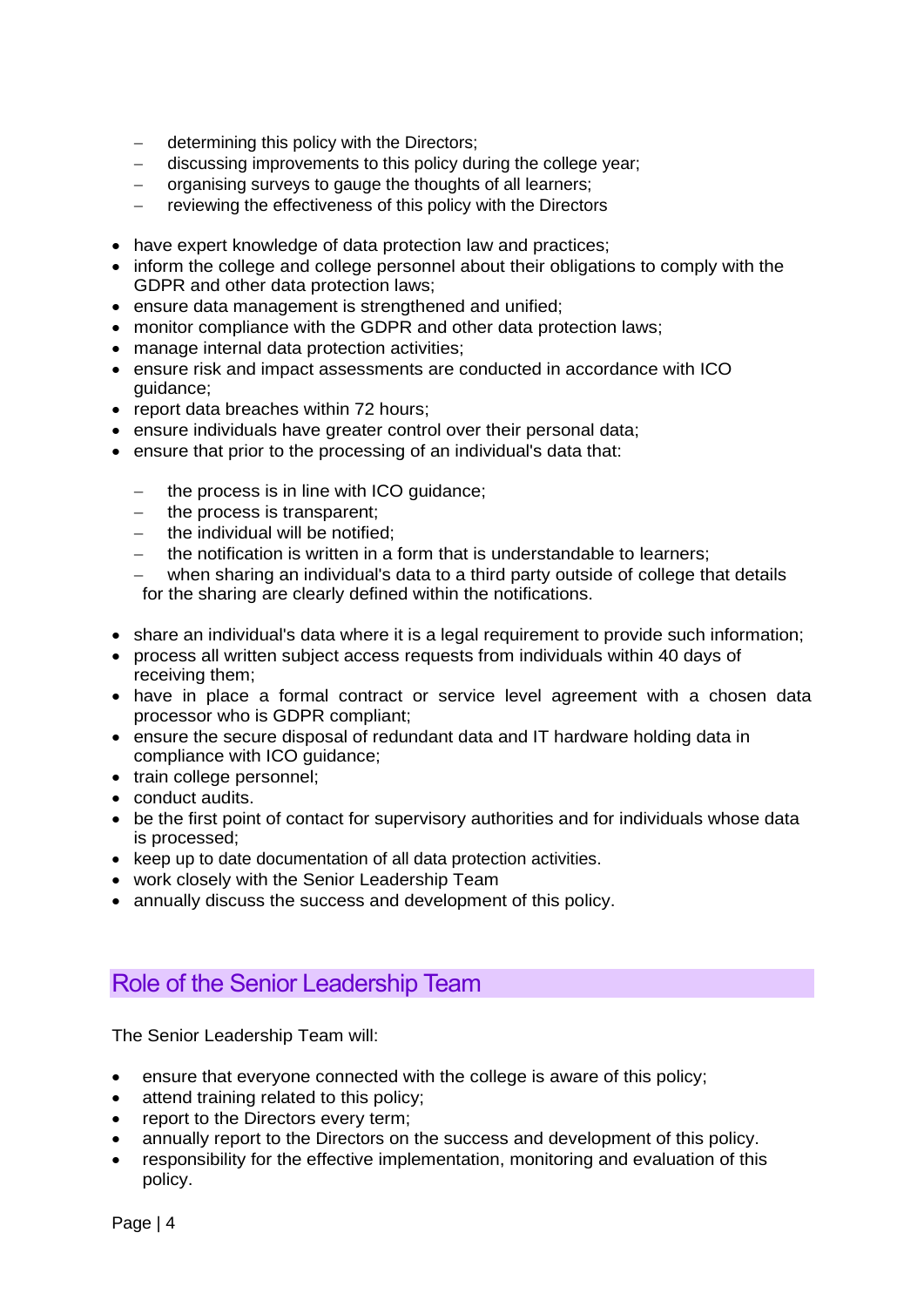- − determining this policy with the Directors;
- − discussing improvements to this policy during the college year;
- − organising surveys to gauge the thoughts of all learners;
- reviewing the effectiveness of this policy with the Directors
- have expert knowledge of data protection law and practices;
- inform the college and college personnel about their obligations to comply with the GDPR and other data protection laws;
- ensure data management is strengthened and unified;
- monitor compliance with the GDPR and other data protection laws;
- manage internal data protection activities;
- ensure risk and impact assessments are conducted in accordance with ICO guidance;
- report data breaches within 72 hours;
- ensure individuals have greater control over their personal data;
- ensure that prior to the processing of an individual's data that:
	- − the process is in line with ICO guidance;
	- the process is transparent:
	- − the individual will be notified;
	- the notification is written in a form that is understandable to learners;
	- − when sharing an individual's data to a third party outside of college that details for the sharing are clearly defined within the notifications.
- share an individual's data where it is a legal requirement to provide such information;
- process all written subject access requests from individuals within 40 days of receiving them;
- have in place a formal contract or service level agreement with a chosen data processor who is GDPR compliant;
- ensure the secure disposal of redundant data and IT hardware holding data in compliance with ICO guidance;
- train college personnel;
- conduct audits.
- be the first point of contact for supervisory authorities and for individuals whose data is processed;
- keep up to date documentation of all data protection activities.
- work closely with the Senior Leadership Team
- annually discuss the success and development of this policy.

#### <span id="page-4-0"></span>Role of the Senior Leadership Team

The Senior Leadership Team will:

- ensure that everyone connected with the college is aware of this policy;
- attend training related to this policy;
- report to the Directors every term;
- annually report to the Directors on the success and development of this policy.
- responsibility for the effective implementation, monitoring and evaluation of this policy.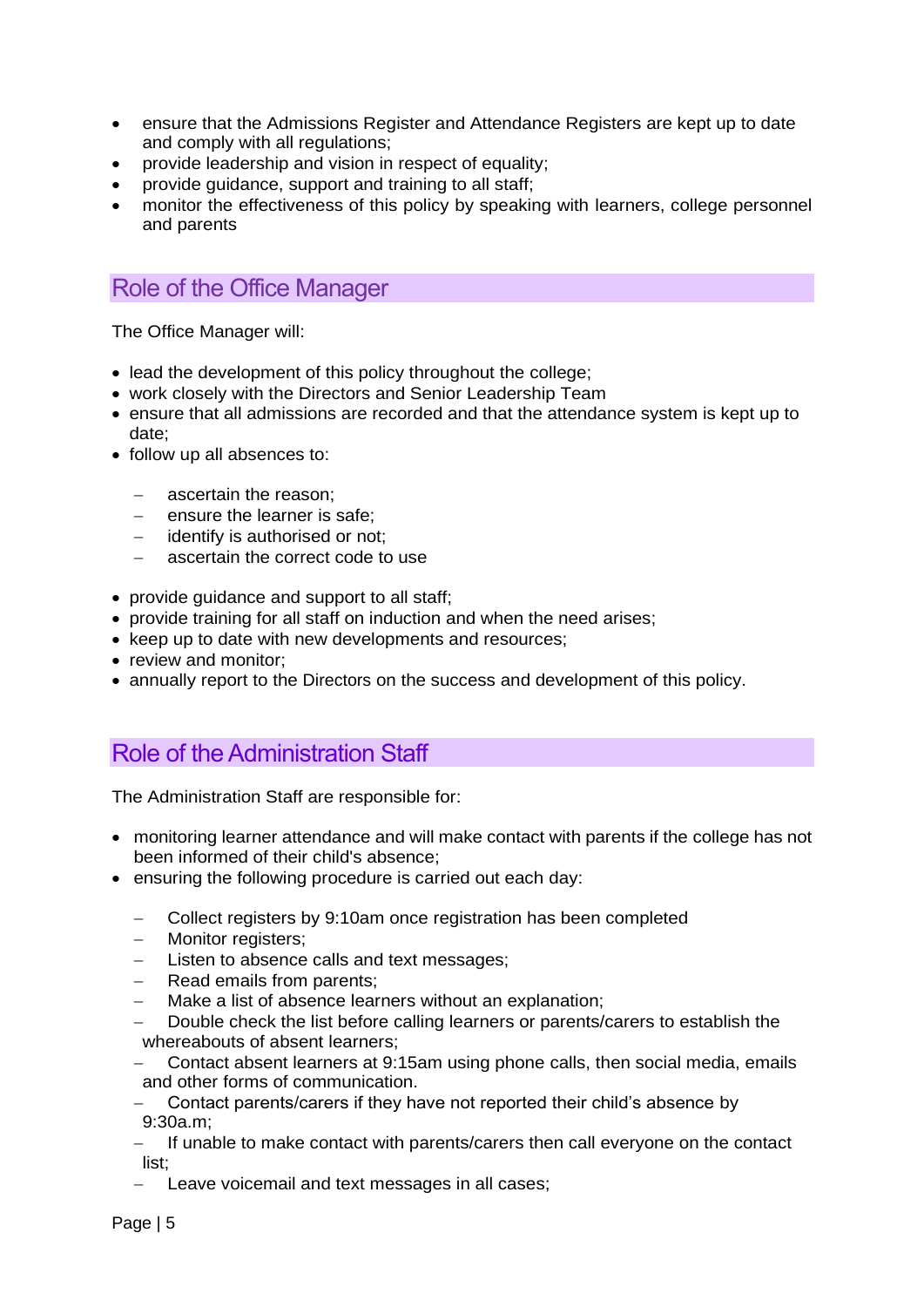- ensure that the Admissions Register and Attendance Registers are kept up to date and comply with all regulations;
- provide leadership and vision in respect of equality;
- provide guidance, support and training to all staff;
- monitor the effectiveness of this policy by speaking with learners, college personnel and parents

## <span id="page-5-0"></span>Role of the Office Manager

The Office Manager will:

- lead the development of this policy throughout the college;
- work closely with the Directors and Senior Leadership Team
- ensure that all admissions are recorded and that the attendance system is kept up to date;
- follow up all absences to:
	- ascertain the reason;
	- − ensure the learner is safe;
	- identify is authorised or not:
	- ascertain the correct code to use
- provide guidance and support to all staff;
- provide training for all staff on induction and when the need arises;
- keep up to date with new developments and resources;
- review and monitor:
- annually report to the Directors on the success and development of this policy.

#### <span id="page-5-1"></span>Role of the Administration Staff

The Administration Staff are responsible for:

- monitoring learner attendance and will make contact with parents if the college has not been informed of their child's absence;
- ensuring the following procedure is carried out each day:
	- − Collect registers by 9:10am once registration has been completed
	- − Monitor registers;
	- Listen to absence calls and text messages;
	- − Read emails from parents;
	- Make a list of absence learners without an explanation:
	- Double check the list before calling learners or parents/carers to establish the whereabouts of absent learners;
	- − Contact absent learners at 9:15am using phone calls, then social media, emails and other forms of communication.
	- Contact parents/carers if they have not reported their child's absence by 9:30a.m;
	- − If unable to make contact with parents/carers then call everyone on the contact list;
	- Leave voicemail and text messages in all cases;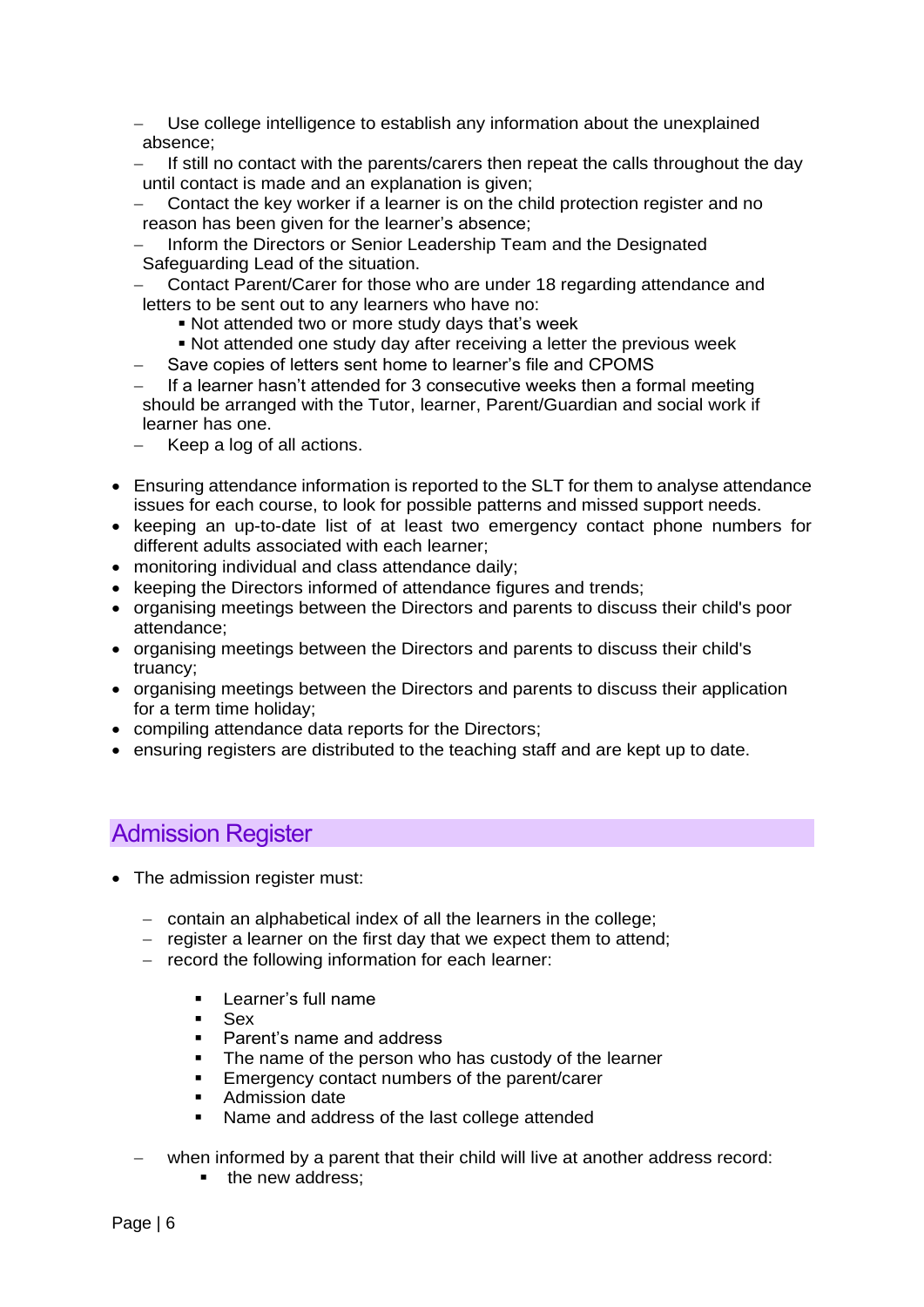Use college intelligence to establish any information about the unexplained absence;

If still no contact with the parents/carers then repeat the calls throughout the day until contact is made and an explanation is given;

− Contact the key worker if a learner is on the child protection register and no reason has been given for the learner's absence;

− Inform the Directors or Senior Leadership Team and the Designated Safeguarding Lead of the situation.

− Contact Parent/Carer for those who are under 18 regarding attendance and letters to be sent out to any learners who have no:

- Not attended two or more study days that's week
- Not attended one study day after receiving a letter the previous week
- Save copies of letters sent home to learner's file and CPOMS
- If a learner hasn't attended for 3 consecutive weeks then a formal meeting should be arranged with the Tutor, learner, Parent/Guardian and social work if learner has one.
- Keep a log of all actions.
- Ensuring attendance information is reported to the SLT for them to analyse attendance issues for each course, to look for possible patterns and missed support needs.
- keeping an up-to-date list of at least two emergency contact phone numbers for different adults associated with each learner;
- monitoring individual and class attendance daily;
- keeping the Directors informed of attendance figures and trends:
- organising meetings between the Directors and parents to discuss their child's poor attendance;
- organising meetings between the Directors and parents to discuss their child's truancy;
- organising meetings between the Directors and parents to discuss their application for a term time holiday;
- compiling attendance data reports for the Directors;
- ensuring registers are distributed to the teaching staff and are kept up to date.

#### <span id="page-6-0"></span>Admission Register

- The admission register must:
	- − contain an alphabetical index of all the learners in the college;
	- − register a learner on the first day that we expect them to attend;
	- − record the following information for each learner:
		- Learner's full name
		- Sex
		- Parent's name and address
		- The name of the person who has custody of the learner
		- **Emergency contact numbers of the parent/carer**
		- Admission date
		- Name and address of the last college attended
	- when informed by a parent that their child will live at another address record:
		- the new address: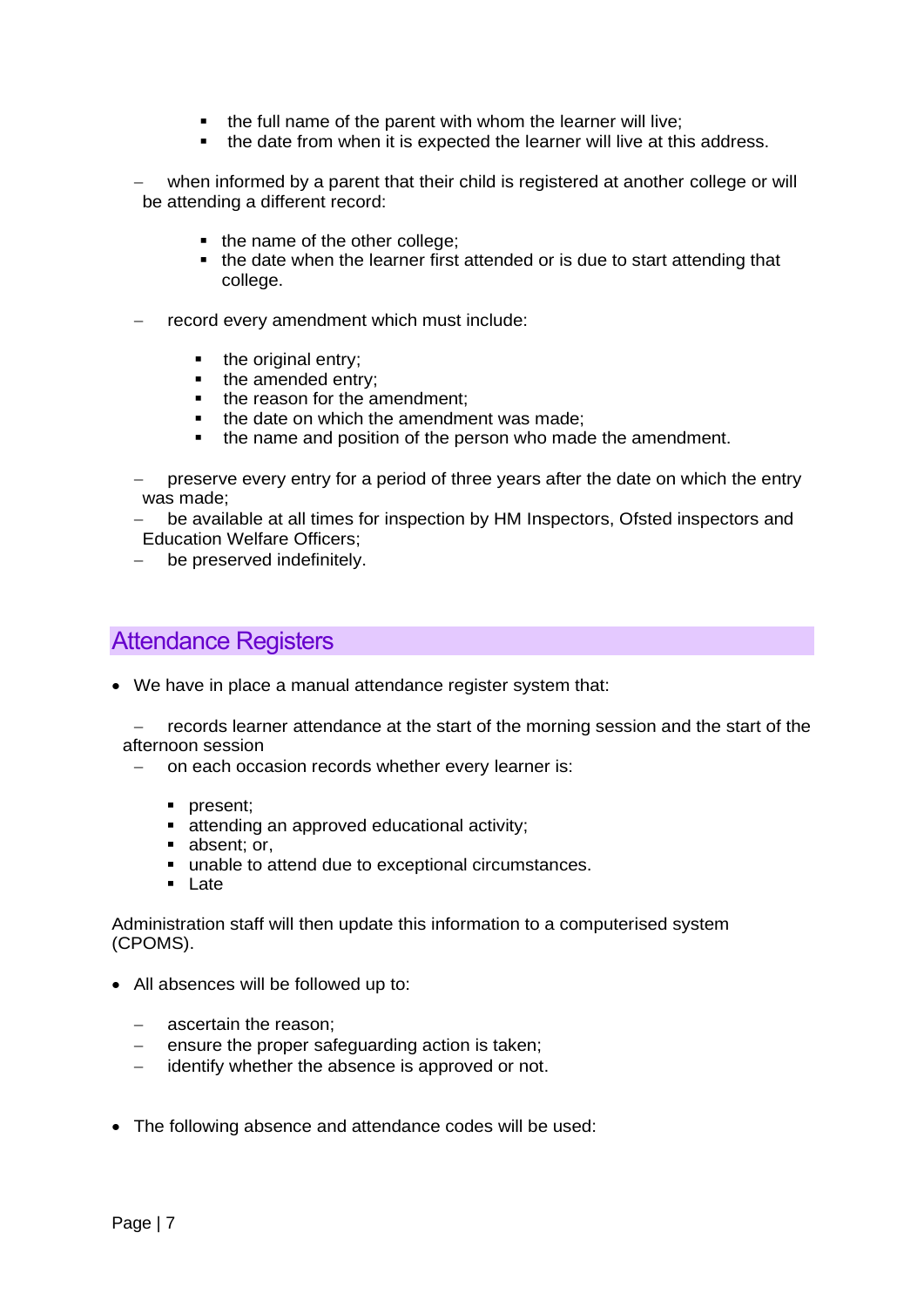- the full name of the parent with whom the learner will live;
- the date from when it is expected the learner will live at this address.

− when informed by a parent that their child is registered at another college or will be attending a different record:

- the name of the other college;
- the date when the learner first attended or is due to start attending that college.
- record every amendment which must include:
	- the original entry;
	- the amended entry;
	- the reason for the amendment;
	- the date on which the amendment was made:
	- the name and position of the person who made the amendment.
- preserve every entry for a period of three years after the date on which the entry was made;
- be available at all times for inspection by HM Inspectors, Ofsted inspectors and Education Welfare Officers;
- be preserved indefinitely.

#### <span id="page-7-0"></span>Attendance Registers

• We have in place a manual attendance register system that:

records learner attendance at the start of the morning session and the start of the afternoon session

- on each occasion records whether every learner is:
	- **•** present;
	- attending an approved educational activity;
	- absent; or,
	- unable to attend due to exceptional circumstances.
	- Late

Administration staff will then update this information to a computerised system (CPOMS).

- All absences will be followed up to:
	- − ascertain the reason;
	- ensure the proper safeguarding action is taken;
	- − identify whether the absence is approved or not.
- The following absence and attendance codes will be used: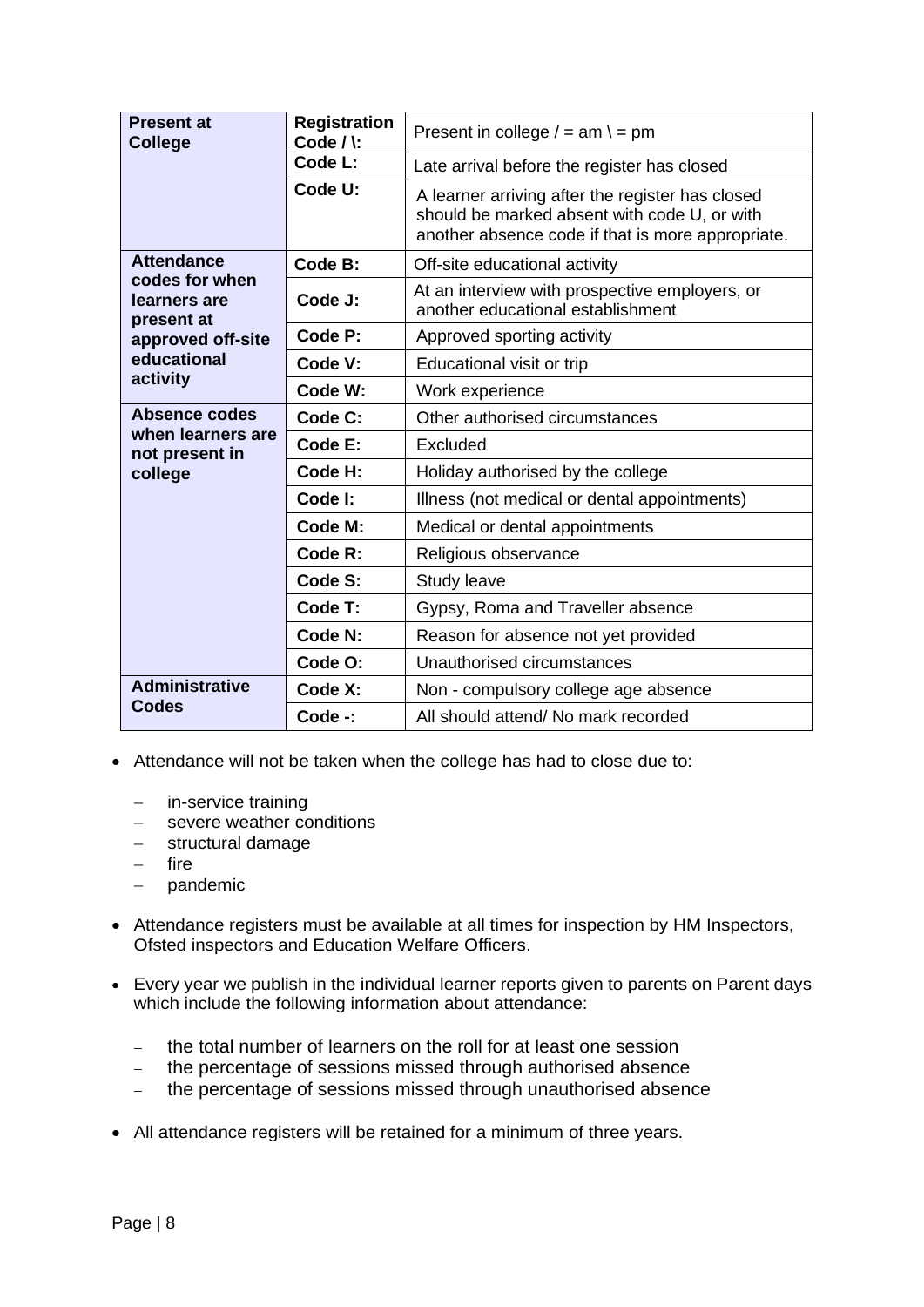| <b>Present at</b><br><b>College</b>                                                                               | <b>Registration</b><br>Code $/$ : | Present in college $/ = am \leq am$                                                                                                                   |
|-------------------------------------------------------------------------------------------------------------------|-----------------------------------|-------------------------------------------------------------------------------------------------------------------------------------------------------|
|                                                                                                                   | Code L:                           | Late arrival before the register has closed                                                                                                           |
|                                                                                                                   | Code U:                           | A learner arriving after the register has closed<br>should be marked absent with code U, or with<br>another absence code if that is more appropriate. |
| <b>Attendance</b><br>codes for when<br>learners are<br>present at<br>approved off-site<br>educational<br>activity | Code B:                           | Off-site educational activity                                                                                                                         |
|                                                                                                                   | Code J:                           | At an interview with prospective employers, or<br>another educational establishment                                                                   |
|                                                                                                                   | Code P:                           | Approved sporting activity                                                                                                                            |
|                                                                                                                   | Code V:                           | Educational visit or trip                                                                                                                             |
|                                                                                                                   | Code W:                           | Work experience                                                                                                                                       |
| <b>Absence codes</b><br>when learners are<br>not present in<br>college                                            | Code C:                           | Other authorised circumstances                                                                                                                        |
|                                                                                                                   | Code E:                           | Excluded                                                                                                                                              |
|                                                                                                                   | Code H:                           | Holiday authorised by the college                                                                                                                     |
|                                                                                                                   | Code I:                           | Illness (not medical or dental appointments)                                                                                                          |
|                                                                                                                   | Code M:                           | Medical or dental appointments                                                                                                                        |
|                                                                                                                   | Code R:                           | Religious observance                                                                                                                                  |
|                                                                                                                   | Code S:                           | <b>Study leave</b>                                                                                                                                    |
|                                                                                                                   | Code T:                           | Gypsy, Roma and Traveller absence                                                                                                                     |
|                                                                                                                   | Code N:                           | Reason for absence not yet provided                                                                                                                   |
|                                                                                                                   | Code O:                           | Unauthorised circumstances                                                                                                                            |
| <b>Administrative</b><br><b>Codes</b>                                                                             | Code X:                           | Non - compulsory college age absence                                                                                                                  |
|                                                                                                                   | Code -:                           | All should attend/ No mark recorded                                                                                                                   |

- Attendance will not be taken when the college has had to close due to:
	- − in-service training
	- − severe weather conditions
	- − structural damage
	- − fire
	- − pandemic
- Attendance registers must be available at all times for inspection by HM Inspectors, Ofsted inspectors and Education Welfare Officers.
- Every year we publish in the individual learner reports given to parents on Parent days which include the following information about attendance:
	- − the total number of learners on the roll for at least one session
	- − the percentage of sessions missed through authorised absence
	- − the percentage of sessions missed through unauthorised absence
- All attendance registers will be retained for a minimum of three years.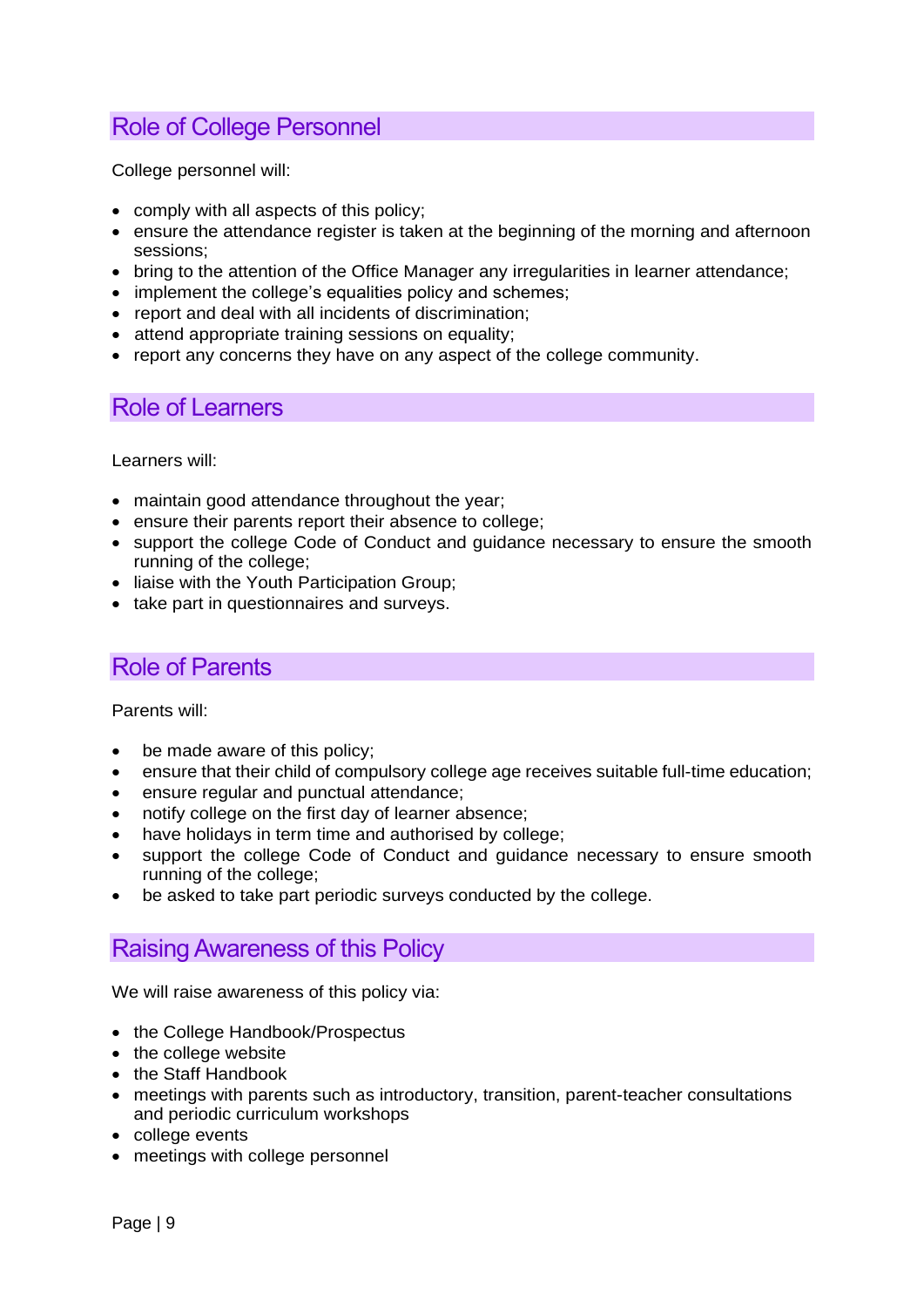## <span id="page-9-0"></span>Role of College Personnel

College personnel will:

- comply with all aspects of this policy;
- ensure the attendance register is taken at the beginning of the morning and afternoon sessions;
- bring to the attention of the Office Manager any irregularities in learner attendance;
- implement the college's equalities policy and schemes;
- report and deal with all incidents of discrimination;
- attend appropriate training sessions on equality;
- report any concerns they have on any aspect of the college community.

#### <span id="page-9-1"></span>Role of Learners

Learners will:

- maintain good attendance throughout the year;
- ensure their parents report their absence to college;
- support the college Code of Conduct and guidance necessary to ensure the smooth running of the college;
- liaise with the Youth Participation Group;
- take part in questionnaires and surveys.

### <span id="page-9-2"></span>Role of Parents

Parents will:

- be made aware of this policy;
- ensure that their child of compulsory college age receives suitable full-time education;
- ensure regular and punctual attendance;
- notify college on the first day of learner absence;
- have holidays in term time and authorised by college;
- support the college Code of Conduct and guidance necessary to ensure smooth running of the college;
- be asked to take part periodic surveys conducted by the college.

#### <span id="page-9-3"></span>Raising Awareness of this Policy

We will raise awareness of this policy via:

- the College Handbook/Prospectus
- the college website
- the Staff Handbook
- meetings with parents such as introductory, transition, parent-teacher consultations and periodic curriculum workshops
- college events
- meetings with college personnel